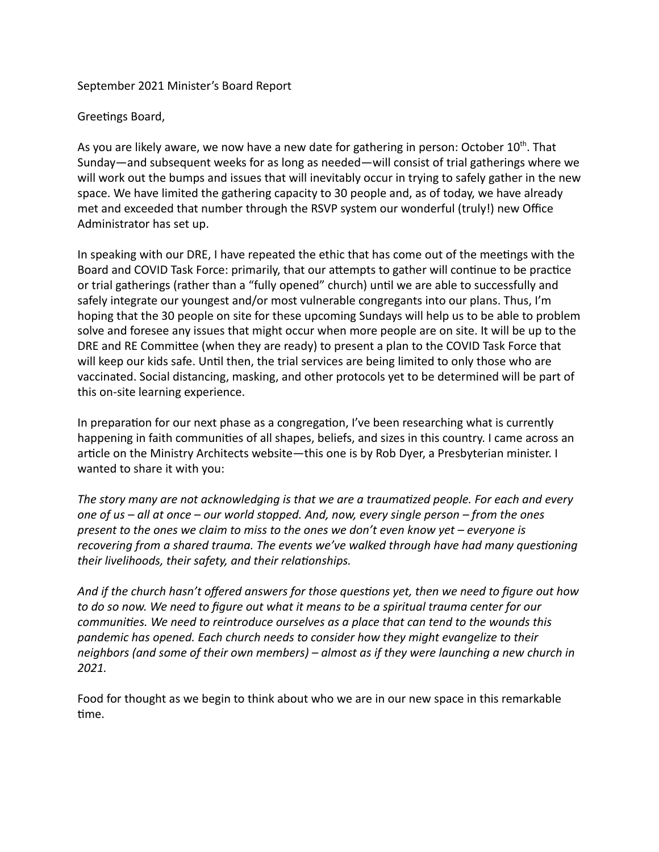## September 2021 Minister's Board Report

Greetings Board,

As you are likely aware, we now have a new date for gathering in person: October 10<sup>th</sup>. That Sunday—and subsequent weeks for as long as needed—will consist of trial gatherings where we will work out the bumps and issues that will inevitably occur in trying to safely gather in the new space. We have limited the gathering capacity to 30 people and, as of today, we have already met and exceeded that number through the RSVP system our wonderful (truly!) new Office Administrator has set up.

In speaking with our DRE, I have repeated the ethic that has come out of the meetings with the Board and COVID Task Force: primarily, that our attempts to gather will continue to be practice or trial gatherings (rather than a "fully opened" church) until we are able to successfully and safely integrate our youngest and/or most vulnerable congregants into our plans. Thus, I'm hoping that the 30 people on site for these upcoming Sundays will help us to be able to problem solve and foresee any issues that might occur when more people are on site. It will be up to the DRE and RE Committee (when they are ready) to present a plan to the COVID Task Force that will keep our kids safe. Until then, the trial services are being limited to only those who are vaccinated. Social distancing, masking, and other protocols yet to be determined will be part of this on-site learning experience.

In preparation for our next phase as a congregation, I've been researching what is currently happening in faith communities of all shapes, beliefs, and sizes in this country. I came across an article on the Ministry Architects website—this one is by Rob Dyer, a Presbyterian minister. I wanted to share it with you:

The story many are not acknowledging is that we are a traumatized people. For each and every *one of us – all at once – our world stopped. And, now, every single person – from the ones present to the ones we claim to miss to the ones we don't even know yet – everyone is recovering from a shared trauma. The events we've walked through have had many questioning their livelihoods, their safety, and their relationships.* 

And if the church hasn't offered answers for those questions yet, then we need to figure out how *to do so now. We need to figure out what it means to be a spiritual trauma center for our* communities. We need to reintroduce ourselves as a place that can tend to the wounds this *pandemic has opened. Each church needs to consider how they might evangelize to their neighbors (and some of their own members) – almost as if they were launching a new church in 2021.*

Food for thought as we begin to think about who we are in our new space in this remarkable time.